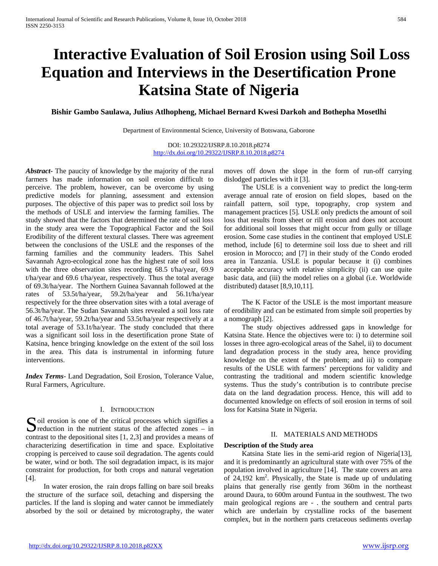# **Interactive Evaluation of Soil Erosion using Soil Loss Equation and Interviews in the Desertification Prone Katsina State of Nigeria**

**Bishir Gambo Saulawa, Julius Atlhopheng, Michael Bernard Kwesi Darkoh and Bothepha Mosetlhi**

Department of Environmental Science, University of Botswana, Gaborone

DOI: 10.29322/IJSRP.8.10.2018.p8274 <http://dx.doi.org/10.29322/IJSRP.8.10.2018.p8274>

*Abstract***-** The paucity of knowledge by the majority of the rural farmers has made information on soil erosion difficult to perceive. The problem, however, can be overcome by using predictive models for planning, assessment and extension purposes. The objective of this paper was to predict soil loss by the methods of USLE and interview the farming families. The study showed that the factors that determined the rate of soil loss in the study area were the Topographical Factor and the Soil Erodibility of the different textural classes. There was agreement between the conclusions of the USLE and the responses of the farming families and the community leaders. This Sahel Savannah Agro-ecological zone has the highest rate of soil loss with the three observation sites recording 68.5 t/ha/year, 69.9 t/ha/year and 69.6 t/ha/year, respectively. Thus the total average of 69.3t/ha/year. The Northern Guinea Savannah followed at the rates of 53.5t/ha/year, 59.2t/ha/year and 56.1t/ha/year respectively for the three observation sites with a total average of 56.3t/ha/year. The Sudan Savannah sites revealed a soil loss rate of 46.7t/ha/year, 59.2t/ha/year and 53.5t/ha/year respectively at a total average of 53.1t/ha/year. The study concluded that there was a significant soil loss in the desertification prone State of Katsina, hence bringing knowledge on the extent of the soil loss in the area. This data is instrumental in informing future interventions.

*Index Terms*- Land Degradation, Soil Erosion, Tolerance Value, Rural Farmers, Agriculture.

### I. INTRODUCTION

 $\sum$  oil erosion is one of the critical processes which signifies a reduction in the nutrient status of the affected zones – in  $\sum$  reduction in the nutrient status of the affected zones – in contrast to the depositional sites [1, 2,3] and provides a means of characterizing desertification in time and space. Exploitative cropping is perceived to cause soil degradation. The agents could be water, wind or both. The soil degradation impact, is its major constraint for production, for both crops and natural vegetation [4].

 In water erosion, the rain drops falling on bare soil breaks the structure of the surface soil, detaching and dispersing the particles. If the land is sloping and water cannot be immediately absorbed by the soil or detained by microtography, the water

moves off down the slope in the form of run-off carrying dislodged particles with it [3].

 The USLE is a convenient way to predict the long-term average annual rate of erosion on field slopes, based on the rainfall pattern, soil type, topography, crop system and management practices [5]. USLE only predicts the amount of soil loss that results from sheet or rill erosion and does not account for additional soil losses that might occur from gully or tillage erosion. Some case studies in the continent that employed USLE method, include [6] to determine soil loss due to sheet and rill erosion in Morocco; and [7] in their study of the Condo eroded area in Tanzania. USLE is popular because it (i) combines acceptable accuracy with relative simplicity (ii) can use quite basic data, and (iii) the model relies on a global (i.e. Worldwide distributed) dataset [8,9,10,11].

 The K Factor of the USLE is the most important measure of erodibility and can be estimated from simple soil properties by a nomograph [2].

 The study objectives addressed gaps in knowledge for Katsina State. Hence the objectives were to: i) to determine soil losses in three agro-ecological areas of the Sahel, ii) to document land degradation process in the study area, hence providing knowledge on the extent of the problem; and iii) to compare results of the USLE with farmers' perceptions for validity and contrasting the traditional and modern scientific knowledge systems. Thus the study's contribution is to contribute precise data on the land degradation process. Hence, this will add to documented knowledge on effects of soil erosion in terms of soil loss for Katsina State in Nigeria.

### II. MATERIALS AND METHODS

### **Description of the Study area**

 Katsina State lies in the semi-arid region of Nigeria[13], and it is predominantly an agricultural state with over 75% of the population involved in agriculture [14]. The state covers an area of  $24,192$  km<sup>2</sup>. Physically, the State is made up of undulating plains that generally rise gently from 360m in the northeast around Daura, to 600m around Funtua in the southwest. The two main geological regions are - . the southern and central parts which are underlain by crystalline rocks of the basement complex, but in the northern parts cretaceous sediments overlap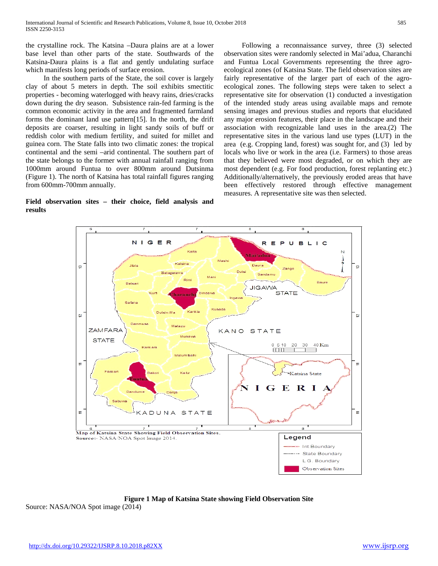the crystalline rock. The Katsina –Daura plains are at a lower base level than other parts of the state. Southwards of the Katsina-Daura plains is a flat and gently undulating surface which manifests long periods of surface erosion.

 In the southern parts of the State, the soil cover is largely clay of about 5 meters in depth. The soil exhibits smectitic properties - becoming waterlogged with heavy rains, dries/cracks down during the dry season. Subsistence rain-fed farming is the common economic activity in the area and fragmented farmland forms the dominant land use pattern[15]. In the north, the drift deposits are coarser, resulting in light sandy soils of buff or reddish color with medium fertility, and suited for millet and guinea corn. The State falls into two climatic zones: the tropical continental and the semi –arid continental. The southern part of the state belongs to the former with annual rainfall ranging from 1000mm around Funtua to over 800mm around Dutsinma (Figure 1). The north of Katsina has total rainfall figures ranging from 600mm-700mm annually.

# **Field observation sites – their choice, field analysis and results**

 Following a reconnaissance survey, three (3) selected observation sites were randomly selected in Mai'adua, Charanchi and Funtua Local Governments representing the three agroecological zones (of Katsina State. The field observation sites are fairly representative of the larger part of each of the agroecological zones. The following steps were taken to select a representative site for observation (1) conducted a investigation of the intended study areas using available maps and remote sensing images and previous studies and reports that elucidated any major erosion features, their place in the landscape and their association with recognizable land uses in the area.(2) The representative sites in the various land use types (LUT) in the area (e.g. Cropping land, forest) was sought for, and (3) led by locals who live or work in the area (i.e. Farmers) to those areas that they believed were most degraded, or on which they are most dependent (e.g. For food production, forest replanting etc.) Additionally/alternatively, the previously eroded areas that have been effectively restored through effective management measures. A representative site was then selected.



**Figure 1 Map of Katsina State showing Field Observation Site**

Source: NASA/NOA Spot image (2014)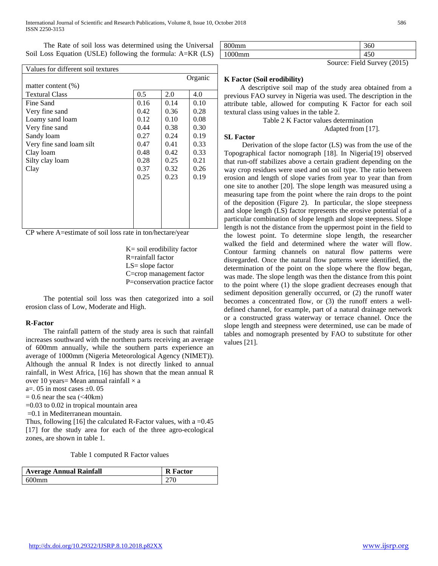The Rate of soil loss was determined using the Universal Soil Loss Equation (USLE) following the formula: A=KR (LS)

| Values for different soil textures |               |      |      |  |  |
|------------------------------------|---------------|------|------|--|--|
| Organic                            |               |      |      |  |  |
| matter content $(\% )$             |               |      |      |  |  |
| <b>Textural Class</b>              | $0.5^{\circ}$ | 2.0  | 4.0  |  |  |
| Fine Sand                          | 0.16          | 0.14 | 0.10 |  |  |
| Very fine sand                     | 0.42          | 0.36 | 0.28 |  |  |
| Loamy sand loam                    | 0.12          | 0.10 | 0.08 |  |  |
| Very fine sand                     | 0.44          | 0.38 | 0.30 |  |  |
| Sandy loam                         | 0.27          | 0.24 | 0.19 |  |  |
| Very fine sand loam silt           | 0.47          | 0.41 | 0.33 |  |  |
| Clay loam                          | 0.48          | 0.42 | 0.33 |  |  |
| Silty clay loam                    | 0.28          | 0.25 | 0.21 |  |  |
| Clay                               | 0.37          | 0.32 | 0.26 |  |  |
|                                    | 0.25          | 0.23 | 0.19 |  |  |
|                                    |               |      |      |  |  |
|                                    |               |      |      |  |  |
|                                    |               |      |      |  |  |
|                                    |               |      |      |  |  |
|                                    |               |      |      |  |  |
|                                    |               |      |      |  |  |

CP where A=estimate of soil loss rate in ton/hectare/year

 K= soil erodibility factor R=rainfall factor LS= slope factor C=crop management factor P=conservation practice factor

 The potential soil loss was then categorized into a soil erosion class of Low, Moderate and High.

#### **R-Factor**

 The rainfall pattern of the study area is such that rainfall increases southward with the northern parts receiving an average of 600mm annually, while the southern parts experience an average of 1000mm (Nigeria Meteorological Agency (NIMET)). Although the annual R Index is not directly linked to annual rainfall, in West Africa, [16] has shown that the mean annual R over 10 years= Mean annual rainfall  $\times$  a

a=. 05 in most cases  $\pm$ 0. 05

 $= 0.6$  near the sea ( $\leq 40$ km)

=0.03 to 0.02 in tropical mountain area

=0.1 in Mediterranean mountain.

Thus, following [16] the calculated R-Factor values, with a = $0.45$ [17] for the study area for each of the three agro-ecological zones, are shown in table 1.

Table 1 computed R Factor values

| <b>Average Annual Rainfall</b> | <b>R</b> Factor |
|--------------------------------|-----------------|
| 600mm                          | 270             |

| 800mm  | 360               |
|--------|-------------------|
| 1000mm | $\epsilon$<br>+JU |

Source: Field Survey (2015)

#### **K Factor (Soil erodibility)**

 A descriptive soil map of the study area obtained from a previous FAO survey in Nigeria was used. The description in the attribute table, allowed for computing K Factor for each soil textural class using values in the table 2.

Table 2 K Factor values determination

## Adapted from [17].

#### **SL Factor**

 Derivation of the slope factor (LS) was from the use of the Topographical factor nomograph [18]. In Nigeria[19] observed that run-off stabilizes above a certain gradient depending on the way crop residues were used and on soil type. The ratio between erosion and length of slope varies from year to year than from one site to another [20]. The slope length was measured using a measuring tape from the point where the rain drops to the point of the deposition (Figure 2). In particular, the slope steepness and slope length (LS) factor represents the erosive potential of a particular combination of slope length and slope steepness. Slope length is not the distance from the uppermost point in the field to the lowest point. To determine slope length, the researcher walked the field and determined where the water will flow. Contour farming channels on natural flow patterns were disregarded. Once the natural flow patterns were identified, the determination of the point on the slope where the flow began, was made. The slope length was then the distance from this point to the point where (1) the slope gradient decreases enough that sediment deposition generally occurred, or (2) the runoff water becomes a concentrated flow, or (3) the runoff enters a welldefined channel, for example, part of a natural drainage network or a constructed grass waterway or terrace channel. Once the slope length and steepness were determined, use can be made of tables and nomograph presented by FAO to substitute for other values [21].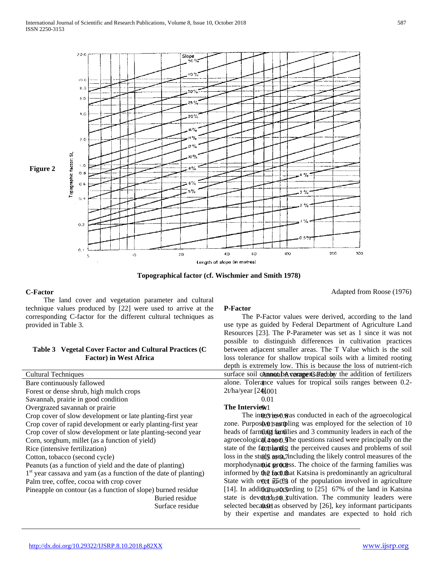

**Topographical factor (cf. Wischmier and Smith 1978)**

#### **C-Factor**

 The land cover and vegetation parameter and cultural technique values produced by [22] were used to arrive at the corresponding C-factor for the different cultural techniques as provided in Table 3.

### **Table 3 Vegetal Cover Factor and Cultural Practices (C Factor) in West Africa**

| <b>Cultural Techniques</b>                                         | surface soil cannot      |
|--------------------------------------------------------------------|--------------------------|
| Bare continuously fallowed                                         | alone. Tolerance         |
| Forest or dense shrub, high mulch crops                            | $2t/ha/year$ [24 $001$ ] |
| Savannah, prairie in good condition                                | 0.01                     |
| Overgrazed savannah or prairie                                     | The Interview1           |
| Crop cover of slow development or late planting-first year         | The intervice            |
| Crop cover of rapid development or early planting-first year       | zone. Purposûx@1st       |
| Crop cover of slow development or late planting-second year        | heads of farming         |
| Corn, sorghum, millet (as a function of yield)                     | agroecological 400       |
| Rice (intensive fertilization)                                     | state of the form        |
| Cotton, tobacco (second cycle)                                     | $\cos$ in the studis as  |
| Peanuts (as a function of yield and the date of planting)          | morphodynamic m          |
| $1st$ year cassava and yam (as a function of the date of planting) | informed by the fo       |
| Palm tree, coffee, cocoa with crop cover                           | State with over 76       |
| Pineapple on contour (as a function of slope) burned residue       | [14]. In addition to     |
| Buried residue                                                     | state is devotedto       |
| Surface residue                                                    | selected becamed a       |

#### **P-Factor**

Cultural Techniques **Annual Average C Factor** Surface soil cannot be compensated by the addition of fertilizers Bare continuously fallowed alone. Tolerance values for tropical soils ranges between 0.2- The P-Factor values were derived, according to the land use type as guided by Federal Department of Agriculture Land Resources [23]. The P-Parameter was set as 1 since it was not possible to distinguish differences in cultivation practices between adjacent smaller areas. The T Value which is the soil loss tolerance for shallow tropical soils with a limited rooting depth is extremely low. This is because the loss of nutrient-rich

Crop cover of slow development or late planting-first year The interview was conducted in each of the agroecological Crop cover of rapid development or early planting-first year zone. Purposive is and pling was employed for the selection of 10 Crop cover of slow development or late planting-second year heads of farming families and 3 community leaders in each of the Corn, sorghum, millet (as a function of yield) agroecological  $\phi$ . The questions raised were principally on the Rice (intensive fertilization) and state of the faith and state of the farmlands, the perceived causes and problems of soil Cotton, tobacco (second cycle) **0.5 Society** 1.5 to 0.5 to 1.5 to 1.5 to 1.5 to 1.5 to 0.7 to 1.5 to 0.7 to 0.5 to 1.5 to 0.7 to 1.5 to 0.7 to 0.5 to 1.5 to 0.7 to 1.5 to 0.7 to 1.5 to 0.7 to 1.5 to 0.7 to 1.5 to 0.7 to 1. Peanuts (as a function of yield and the date of planting) morphodynamic process. The choice of the farming families was 1<sup>st</sup> year cassava and yam (as a function of the date of planting) informed by the fact that Katsina is predominantly an agricultural Palm tree, coffee, cocoa with crop cover State with over State with over  $\frac{750}{8}$  of the population involved in agriculture [14]. In addition<sub>to</sub> a contingular to [25] 67% of the land in Katsina state is dev@edtoto. Sultivation. The community leaders were selected because as observed by [26], key informant participants by their expertise and mandates are expected to hold rich

Adapted from Roose (1976)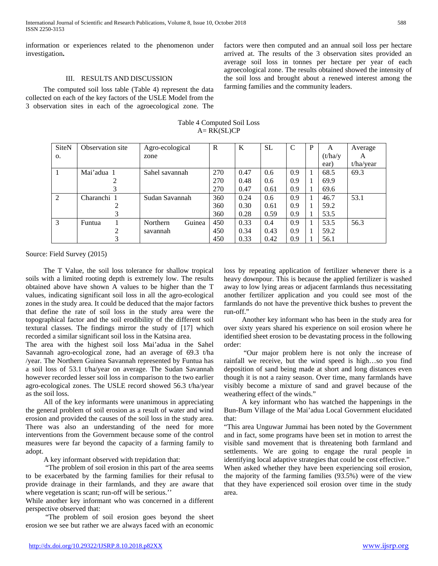International Journal of Scientific and Research Publications, Volume 8, Issue 10, October 2018 588 ISSN 2250-3153

information or experiences related to the phenomenon under investigation**.** 

#### III. RESULTS AND DISCUSSION

 The computed soil loss table (Table 4) represent the data collected on each of the key factors of the USLE Model from the 3 observation sites in each of the agroecological zone. The factors were then computed and an annual soil loss per hectare arrived at. The results of the 3 observation sites provided an average soil loss in tonnes per hectare per year of each agroecological zone. The results obtained showed the intensity of the soil loss and brought about a renewed interest among the farming families and the community leaders.

| <b>SiteN</b> | Observation site | Agro-ecological    | $\mathbb{R}$ | K    | <b>SL</b> | $\mathcal{C}$ | P | A        | Average   |
|--------------|------------------|--------------------|--------------|------|-----------|---------------|---|----------|-----------|
| O.           |                  | zone               |              |      |           |               |   | (t/ha/y) | A         |
|              |                  |                    |              |      |           |               |   | ear)     | t/ha/year |
| 1            | Mai'adua 1       | Sahel savannah     | 270          | 0.47 | 0.6       | 0.9           |   | 68.5     | 69.3      |
|              |                  |                    | 270          | 0.48 | 0.6       | 0.9           | 1 | 69.9     |           |
|              |                  |                    | 270          | 0.47 | 0.61      | 0.9           |   | 69.6     |           |
| 2            | Charanchi 1      | Sudan Savannah     | 360          | 0.24 | 0.6       | 0.9           | 1 | 46.7     | 53.1      |
|              |                  |                    | 360          | 0.30 | 0.61      | 0.9           | 1 | 59.2     |           |
|              | 3                |                    | 360          | 0.28 | 0.59      | 0.9           |   | 53.5     |           |
| 3            | Funtua           | Guinea<br>Northern | 450          | 0.33 | 0.4       | 0.9           |   | 53.5     | 56.3      |
|              | ∍                | savannah           | 450          | 0.34 | 0.43      | 0.9           |   | 59.2     |           |
|              |                  |                    | 450          | 0.33 | 0.42      | 0.9           |   | 56.1     |           |

Table 4 Computed Soil Loss  $A= RK(SL)CP$ 

Source: Field Survey (2015)

 The T Value, the soil loss tolerance for shallow tropical soils with a limited rooting depth is extremely low. The results obtained above have shown A values to be higher than the T values, indicating significant soil loss in all the agro-ecological zones in the study area. It could be deduced that the major factors that define the rate of soil loss in the study area were the topographical factor and the soil erodibility of the different soil textural classes. The findings mirror the study of [17] which recorded a similar significant soil loss in the Katsina area.

The area with the highest soil loss Mai'adua in the Sahel Savannah agro-ecological zone, had an average of 69.3 t/ha /year. The Northern Guinea Savannah represented by Funtua has a soil loss of 53.1 t/ha/year on average. The Sudan Savannah however recorded lesser soil loss in comparison to the two earlier agro-ecological zones. The USLE record showed 56.3 t/ha/year as the soil loss.

 All of the key informants were unanimous in appreciating the general problem of soil erosion as a result of water and wind erosion and provided the causes of the soil loss in the study area. There was also an understanding of the need for more interventions from the Government because some of the control measures were far beyond the capacity of a farming family to adopt.

A key informant observed with trepidation that:

 "The problem of soil erosion in this part of the area seems to be exacerbated by the farming families for their refusal to provide drainage in their farmlands, and they are aware that where vegetation is scant; run-off will be serious."

While another key informant who was concerned in a different perspective observed that:

 "The problem of soil erosion goes beyond the sheet erosion we see but rather we are always faced with an economic loss by repeating application of fertilizer whenever there is a heavy downpour. This is because the applied fertilizer is washed away to low lying areas or adjacent farmlands thus necessitating another fertilizer application and you could see most of the farmlands do not have the preventive thick bushes to prevent the run-off."

 Another key informant who has been in the study area for over sixty years shared his experience on soil erosion where he identified sheet erosion to be devastating process in the following order:

 "Our major problem here is not only the increase of rainfall we receive, but the wind speed is high…so you find deposition of sand being made at short and long distances even though it is not a rainy season. Over time, many farmlands have visibly become a mixture of sand and gravel because of the weathering effect of the winds."

 A key informant who has watched the happenings in the Bun-Bum Village of the Mai'adua Local Government elucidated that:

"This area Unguwar Jummai has been noted by the Government and in fact, some programs have been set in motion to arrest the visible sand movement that is threatening both farmland and settlements. We are going to engage the rural people in identifying local adaptive strategies that could be cost effective."

When asked whether they have been experiencing soil erosion, the majority of the farming families (93.5%) were of the view that they have experienced soil erosion over time in the study area.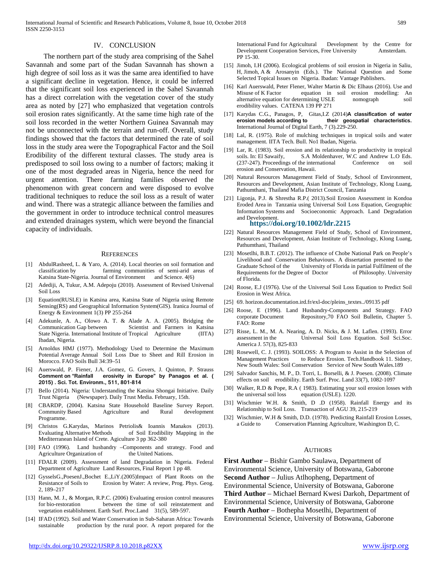#### IV. CONCLUSION

 The northern part of the study area comprising of the Sahel Savannah and some part of the Sudan Savannah has shown a high degree of soil loss as it was the same area identified to have a significant decline in vegetation. Hence, it could be inferred that the significant soil loss experienced in the Sahel Savannah has a direct correlation with the vegetation cover of the study area as noted by [27] who emphasized that vegetation controls soil erosion rates significantly. At the same time high rate of the soil loss recorded in the wetter Northern Guinea Savannah may not be unconnected with the terrain and run-off. Overall, study findings showed that the factors that determined the rate of soil loss in the study area were the Topographical Factor and the Soil Erodibility of the different textural classes. The study area is predisposed to soil loss owing to a number of factors; making it one of the most degraded areas in Nigeria, hence the need for urgent attention. There farming families observed the phenomenon with great concern and were disposed to evolve traditional techniques to reduce the soil loss as a result of water and wind. There was a strategic alliance between the families and the government in order to introduce technical control measures and extended drainages system, which were beyond the financial capacity of individuals.

#### **REFERENCES**

- [1] AbdulRasheed, L. & Yaro, A. (2014). Local theories on soil formation and classification by farming communities of semi-arid areas of Katsina State-Nigeria. Journal of Environment and Science. 4(6)
- [2] Adediji, A, Tukur, A.M. Adepoju (2010). Assessment of Revised Universal Soil Loss
- [3] Equation(RUSLE) in Katsina area, Katsina State of Nigeria using Remote Sensing(RS) and Geographical Information System(GIS). Iranica Journal of Energy & Environment 1(3) PP 255-264
- [4] Adekunle, A. A., Olowo A. T. & Alade A. A. (2005). Bridging the Communication Gap between Scientist and Farmers in Katsina State Nigeria. International Institute of Tropical Agriculture (IITA) Ibadan, Nigeria.
- [5] Arnoldus HMJ (1977). Methodology Used to Determine the Maximum Potential Average Annual Soil Loss Due to Sheet and Rill Erosion in Morocco. FAO Soils Bull 34:39–51
- [6] Auerswald, P. Fiener, J.A. Gomez, G. Govers, J. Quinton, P. Strauss **Comment on "Rainfall erosivity in Europe" by Panagos et al. ( 2015) . Sci. Tot. Environm., 511, 801-814**
- [7] Bello (2014). Nigeria: Understanding the Katsina Shongai Initiative. Daily Trust Nigeria (Newspaper). Daily Trust Media. February, 15th.
- [8] CBARDP, (2004). Katsina State Household Baseline Survey Report. Community Based Agriculture and Rural development Programme.
- [9] Christos G.Karydas, Marinos Petriolis& Ioannis Manakos (2013). Evaluating Alternative Methods of Soil Erodibility Mapping in the Mediterranean Island of Crete. Agiculture 3 pp 362-380
- [10] FAO (1996). Land husbandry -Components and strategy. Food and Agriculture Organization of the United Nations.
- [11] FDALR (2009). Assessment of land Degradation in Nigeria. Federal Department of Agriculture Land Resources, Final Report 1 pp 48.
- [12] GysselsG.,PoesenJ.,Bochet E.,LiY.(2005)Impact of Plant Roots on the Erosion by Water: A review, Prog. Phys. Geog. 2, 189–217
- [13] Hann, M. J., & Morgan, R.P.C. (2006) Evaluating erosion control measures for bio-restoration between the time of soil reinstatement and vegetation establishment. Earth Surf. Proc.Land 31(5), 589-597.
- [14] IFAD (1992). Soil and Water Conservation in Sub-Saharan Africa: Towards sustainable production by the rural poor. A report prepared for the

International Fund for Agricultural Development by the Centre for Development Cooperation Services, Free University Amsterdam. PP 15-30.

- [15] Jimoh, I.H (2006). Ecological problems of soil erosion in Nigeria in Saliu, H, Jimoh, A & Arosanyin (Eds.). The National Question and Some Selected Topical Issues on Nigeria. Ibadan: Vantage Publishers.
- [16] Karl Auerswald, Peter Flener, Walter Martin & Dic Elhaus (2016). Use and Misuse of K Factor equation in soil erosion modelling: An alternative equation for determining USLE nomograph soil erodibility values. CATENA 139 PP 271
- [17] Karydas C.G., Panagos, P, Gitas,I.Z (2014)**A classification of water**  their geospatial characteristics. International Journal of Digital Earth, 7 (3).229-250.
- [18] Lal, R. (1975). Role of mulching techniques in tropical soils and water management. IITA Tech. Bull. No1 Ibadan, Nigeria.
- [19] Lar, R. (1983). Soil erosion and its relationship to productivity in tropical soils. In: El Sawaify, S.A Moldenhaver, W.C and Andrew L.O Eds. (237-247). Proceedings of the international Conference on soil erosion and Conservation, Hawaii.
- [20] Natural Resources Management Field of Study, School of Environment, Resources and Development, Asian Institute of Technology, Klong Luang, Pathumthani, Thailand Mafia District Council, Tanzania
- [21] Ligonja, P.J. & Shrestha R.P.( 2013).Soil Erosion Assessment in Kondoa Eroded Area in Tanzania using Universal Soil Loss Equation, Geographic Information Systems and Socioeconomic Approach. Land Degradation and Development. **<https://doi.org/10.1002/ldr.2215>**
- [22] Natural Resources Management Field of Study, School of Environment, Resources and Development, Asian Institute of Technology, Klong Luang, Pathumthani, Thailand
- [23] Mosetlhi, B.B.T. (2012). The influence of Chobe National Park on People's Livelihood and Conservation Behaviours. A dissertation presented to the Graduate School of the University of Florida in partial Fulfilment of the Requirements for the Degree of Doctor of Philosophy. University of Florida.
- [24] Roose, E.J (1976). Use of the Universal Soil Loss Equation to Predict Soil Erosion in West Africa.
- [25] 69. horizon.documentation.ird.fr/exl-doc/pleins\_textes../09135 pdf
- [26] Roose, E (1996). Land Husbandry-Components and Strategy. FAO corporate Document Repository,70 FAO Soil Bulletin, Chapter 5. FAO: Rome
- [27] Risse, L. M., M. A. Nearing, A. D. Nicks, & J. M. Laflen. (1993). Error assessment in the Universal Soil Loss Equation. Soil Sci.Soc. America J. 57(3), 825‐833
- [28] Rosewell, C. J. (1993). SOILOSS: A Program to Assist in the Selection of Management Practices to Reduce Erosion. Tech.Handbook 11. Sidney, New South Wales: Soil Conservation Service of New South Wales.189
- [29] Salvador Sanchis, M. P., D. Torri, L. Borselli, & J. Poesen. (2008). Climate effects on soil erodibility. Earth Surf. Proc. Land 33(7), 1082‐1097
- [30] Walker, R.D & Pope, R.A ( 1983). Estimating your soil erosion losses with the universal soil loss equation (USLE). 1220.
- [31] Wischmier W.H. & Smith, D .D (1958). Rainfall Energy and its Relationship to Soil Loss. Transaction of AGU 39, 215-219
- [32] Wischmier, W.H & Smith, D.D. (1978). Predicting Rainfall Erosion Losses, a Guide to Conservation Planning Agriculture, Washington D, C.

#### AUTHORS

**First Author** – Bishir Gambo Saulawa, Department of Environmental Science, University of Botswana, Gaborone **Second Author** – Julius Atlhopheng, Department of Environmental Science, University of Botswana, Gaborone **Third Author** – Michael Bernard Kwesi Darkoh, Department of Environmental Science, University of Botswana, Gaborone **Fourth Author** – Bothepha Mosetlhi, Department of Environmental Science, University of Botswana, Gaborone